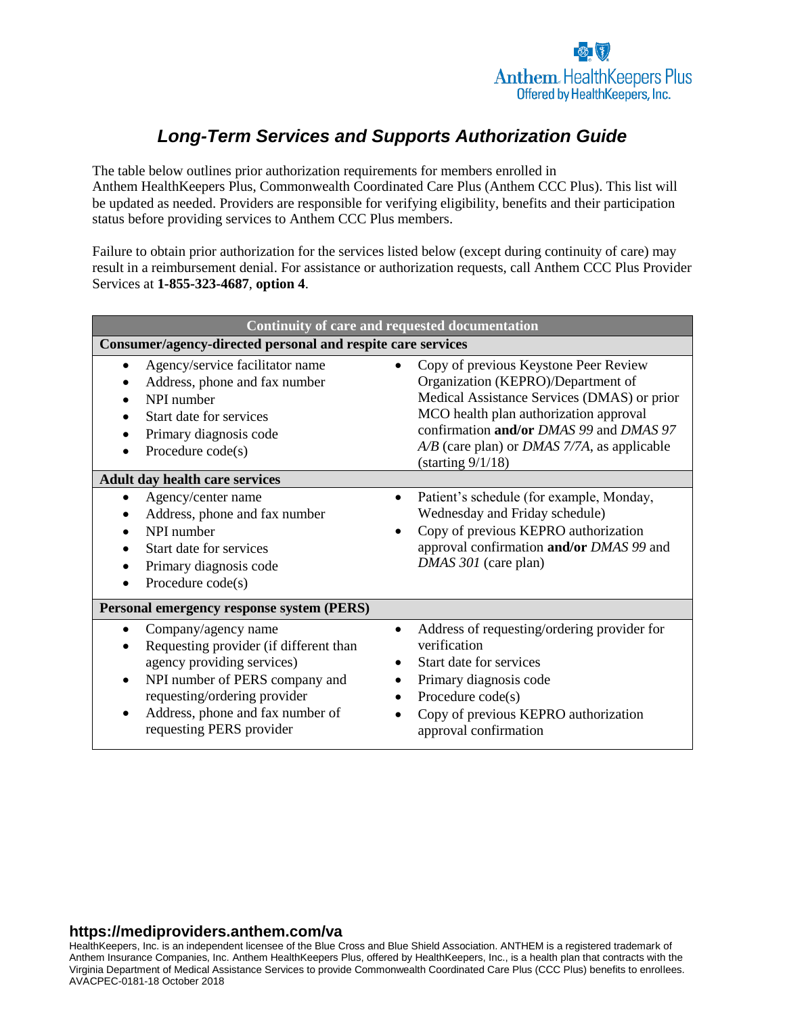# *Long-Term Services and Supports Authorization Guide*

The table below outlines prior authorization requirements for members enrolled in Anthem HealthKeepers Plus, Commonwealth Coordinated Care Plus (Anthem CCC Plus). This list will be updated as needed. Providers are responsible for verifying eligibility, benefits and their participation status before providing services to Anthem CCC Plus members.

Failure to obtain prior authorization for the services listed below (except during continuity of care) may result in a reimbursement denial. For assistance or authorization requests, call Anthem CCC Plus Provider Services at **1-855-323-4687**, **option 4**.

| Continuity of care and requested documentation                                                                                                                                                                                                                            |                                                                                                                                                                                                                                                                                                        |  |
|---------------------------------------------------------------------------------------------------------------------------------------------------------------------------------------------------------------------------------------------------------------------------|--------------------------------------------------------------------------------------------------------------------------------------------------------------------------------------------------------------------------------------------------------------------------------------------------------|--|
| Consumer/agency-directed personal and respite care services                                                                                                                                                                                                               |                                                                                                                                                                                                                                                                                                        |  |
| Agency/service facilitator name<br>$\bullet$<br>Address, phone and fax number<br>NPI number<br>Start date for services<br>Primary diagnosis code<br>$\bullet$<br>Procedure code(s)                                                                                        | Copy of previous Keystone Peer Review<br>Organization (KEPRO)/Department of<br>Medical Assistance Services (DMAS) or prior<br>MCO health plan authorization approval<br>confirmation and/or DMAS 99 and DMAS 97<br>$A/B$ (care plan) or <i>DMAS</i> 7/7A, as applicable<br>$(\text{starting } 9/1/18)$ |  |
| <b>Adult day health care services</b>                                                                                                                                                                                                                                     |                                                                                                                                                                                                                                                                                                        |  |
| Agency/center name<br>$\bullet$<br>$\bullet$<br>Address, phone and fax number<br>NPI number<br>Start date for services<br>Primary diagnosis code<br>Procedure code(s)                                                                                                     | Patient's schedule (for example, Monday,<br>Wednesday and Friday schedule)<br>Copy of previous KEPRO authorization<br>approval confirmation and/or DMAS 99 and<br>DMAS 301 (care plan)                                                                                                                 |  |
| Personal emergency response system (PERS)                                                                                                                                                                                                                                 |                                                                                                                                                                                                                                                                                                        |  |
| Company/agency name<br>٠<br>Requesting provider (if different than<br>$\bullet$<br>agency providing services)<br>NPI number of PERS company and<br>$\bullet$<br>requesting/ordering provider<br>Address, phone and fax number of<br>$\bullet$<br>requesting PERS provider | Address of requesting/ordering provider for<br>verification<br>Start date for services<br>Primary diagnosis code<br>Procedure code(s)<br>Copy of previous KEPRO authorization<br>approval confirmation                                                                                                 |  |

#### **https://mediproviders.anthem.com/va**

HealthKeepers, Inc. is an independent licensee of the Blue Cross and Blue Shield Association. ANTHEM is a registered trademark of Anthem Insurance Companies, Inc. Anthem HealthKeepers Plus, offered by HealthKeepers, Inc., is a health plan that contracts with the Virginia Department of Medical Assistance Services to provide Commonwealth Coordinated Care Plus (CCC Plus) benefits to enrollees. AVACPEC-0181-18 October 2018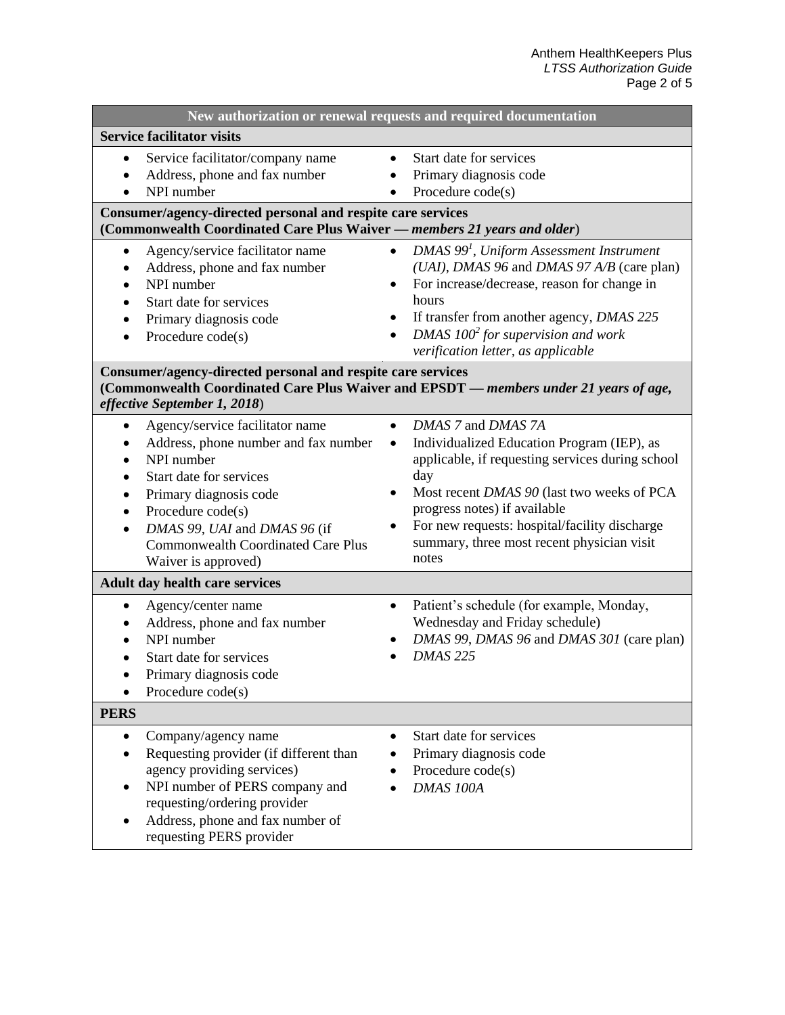| New authorization or renewal requests and required documentation                                                                                                                                                                                                                                           |                                                                                                                                                                                                                                                                                                                                             |  |
|------------------------------------------------------------------------------------------------------------------------------------------------------------------------------------------------------------------------------------------------------------------------------------------------------------|---------------------------------------------------------------------------------------------------------------------------------------------------------------------------------------------------------------------------------------------------------------------------------------------------------------------------------------------|--|
| <b>Service facilitator visits</b>                                                                                                                                                                                                                                                                          |                                                                                                                                                                                                                                                                                                                                             |  |
| Service facilitator/company name<br>$\bullet$<br>Address, phone and fax number<br>NPI number                                                                                                                                                                                                               | Start date for services<br>$\bullet$<br>Primary diagnosis code<br>Procedure code(s)<br>$\bullet$                                                                                                                                                                                                                                            |  |
| Consumer/agency-directed personal and respite care services<br>(Commonwealth Coordinated Care Plus Waiver - members 21 years and older)                                                                                                                                                                    |                                                                                                                                                                                                                                                                                                                                             |  |
| Agency/service facilitator name<br>٠<br>Address, phone and fax number<br>NPI number<br>Start date for services<br>Primary diagnosis code<br>Procedure code(s)<br>$\bullet$                                                                                                                                 | $DMAS$ 99 <sup>1</sup> , Uniform Assessment Instrument<br>$\bullet$<br>(UAI), DMAS 96 and DMAS 97 A/B (care plan)<br>For increase/decrease, reason for change in<br>$\bullet$<br>hours<br>If transfer from another agency, DMAS 225<br>DMAS $1002$ for supervision and work<br>verification letter, as applicable                           |  |
| Consumer/agency-directed personal and respite care services<br>(Commonwealth Coordinated Care Plus Waiver and EPSDT - members under 21 years of age,<br>effective September 1, 2018)                                                                                                                       |                                                                                                                                                                                                                                                                                                                                             |  |
| Agency/service facilitator name<br>$\bullet$<br>Address, phone number and fax number<br>NPI number<br>Start date for services<br>Primary diagnosis code<br>Procedure code(s)<br>$\bullet$<br>DMAS 99, UAI and DMAS 96 (if<br>$\bullet$<br><b>Commonwealth Coordinated Care Plus</b><br>Waiver is approved) | DMAS 7 and DMAS 7A<br>$\bullet$<br>Individualized Education Program (IEP), as<br>$\bullet$<br>applicable, if requesting services during school<br>day<br>Most recent DMAS 90 (last two weeks of PCA<br>progress notes) if available<br>For new requests: hospital/facility discharge<br>summary, three most recent physician visit<br>notes |  |
| <b>Adult day health care services</b>                                                                                                                                                                                                                                                                      |                                                                                                                                                                                                                                                                                                                                             |  |
| Agency/center name<br>$\bullet$<br>Address, phone and fax number<br>NPI number<br>Start date for services<br>Primary diagnosis code<br>Procedure code(s)<br>$\bullet$                                                                                                                                      | Patient's schedule (for example, Monday,<br>$\bullet$<br>Wednesday and Friday schedule)<br>DMAS 99, DMAS 96 and DMAS 301 (care plan)<br><b>DMAS 225</b>                                                                                                                                                                                     |  |
| <b>PERS</b>                                                                                                                                                                                                                                                                                                |                                                                                                                                                                                                                                                                                                                                             |  |
| Company/agency name<br>$\bullet$<br>Requesting provider (if different than<br>$\bullet$<br>agency providing services)<br>NPI number of PERS company and<br>requesting/ordering provider<br>Address, phone and fax number of<br>٠<br>requesting PERS provider                                               | Start date for services<br>$\bullet$<br>Primary diagnosis code<br>Procedure code(s)<br>DMAS 100A                                                                                                                                                                                                                                            |  |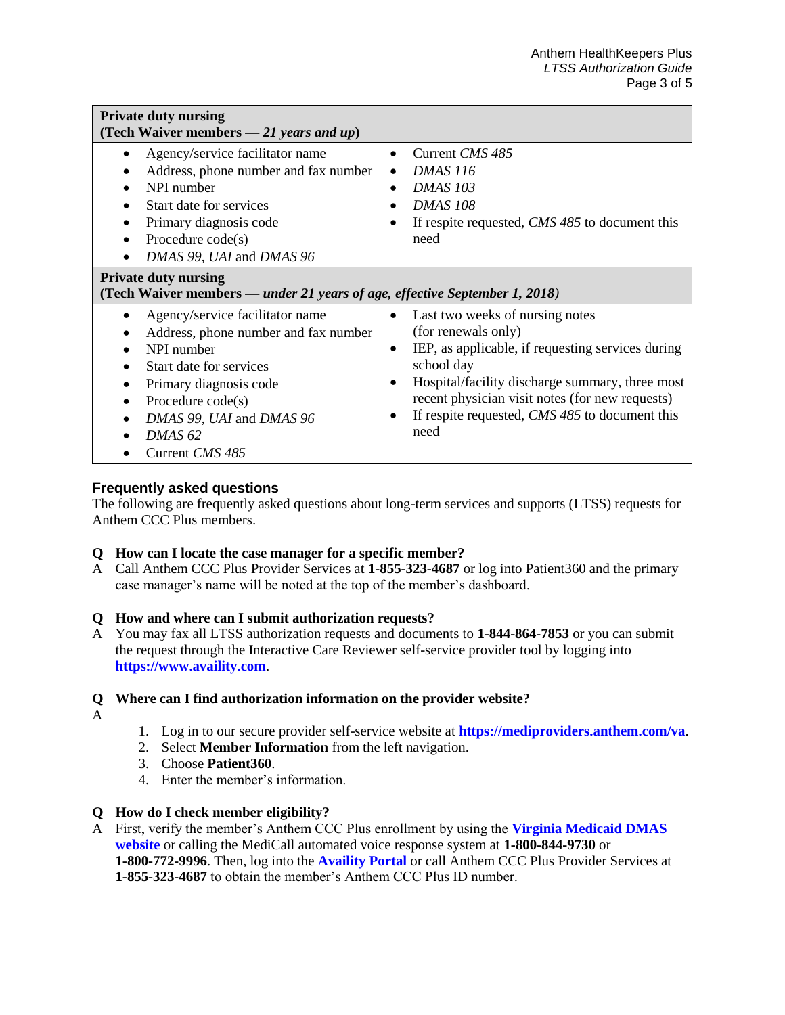| <b>Private duty nursing</b><br>(Tech Waiver members $-21$ years and up)                                                                                                                                                                                          |                                                                                                                                                                                                                                                                                                                          |  |
|------------------------------------------------------------------------------------------------------------------------------------------------------------------------------------------------------------------------------------------------------------------|--------------------------------------------------------------------------------------------------------------------------------------------------------------------------------------------------------------------------------------------------------------------------------------------------------------------------|--|
| Agency/service facilitator name<br>$\bullet$<br>Address, phone number and fax number<br>NPI number<br>Start date for services<br>Primary diagnosis code<br>Procedure $code(s)$<br>$\bullet$<br>DMAS 99, UAI and DMAS 96                                          | Current CMS 485<br><b>DMAS</b> 116<br>$\bullet$<br><b>DMAS 103</b><br><b>DMAS 108</b><br>If respite requested, CMS 485 to document this<br>need                                                                                                                                                                          |  |
| <b>Private duty nursing</b><br>(Tech Waiver members — under 21 years of age, effective September 1, 2018)                                                                                                                                                        |                                                                                                                                                                                                                                                                                                                          |  |
| Agency/service facilitator name<br>$\bullet$<br>Address, phone number and fax number<br>NPI number<br>Start date for services<br>Primary diagnosis code<br>Procedure $code(s)$<br>$\bullet$<br>DMAS 99, UAI and DMAS 96<br>DMAS <sub>62</sub><br>Current CMS 485 | Last two weeks of nursing notes<br>$\bullet$<br>(for renewals only)<br>IEP, as applicable, if requesting services during<br>$\bullet$<br>school day<br>Hospital/facility discharge summary, three most<br>٠<br>recent physician visit notes (for new requests)<br>If respite requested, CMS 485 to document this<br>need |  |

# **Frequently asked questions**

The following are frequently asked questions about long-term services and supports (LTSS) requests for Anthem CCC Plus members.

# **Q How can I locate the case manager for a specific member?**

A Call Anthem CCC Plus Provider Services at **1-855-323-4687** or log into Patient360 and the primary case manager's name will be noted at the top of the member's dashboard.

# **Q How and where can I submit authorization requests?**

A You may fax all LTSS authorization requests and documents to **1-844-864-7853** or you can submit the request through the Interactive Care Reviewer self-service provider tool by logging into **[https://www.availity.com](https://www.availity.com/)**.

# **Q Where can I find authorization information on the provider website?**

- A
- 1. Log in to our secure provider self-service website at **<https://mediproviders.anthem.com/va>**.
- 2. Select **Member Information** from the left navigation.
- 3. Choose **Patient360**.
- 4. Enter the member's information.

# **Q How do I check member eligibility?**

A First, verify the member's Anthem CCC Plus enrollment by using the **[Virginia Medicaid DMAS](https://www.virginiamedicaid.dmas.virginia.gov/wps/portal)  [website](https://www.virginiamedicaid.dmas.virginia.gov/wps/portal)** or calling the MediCall automated voice response system at **1-800-844-9730** or **1-800-772-9996**. Then, log into the **[Availity Portal](https://www.availity.com/)** or call Anthem CCC Plus Provider Services at **1-855-323-4687** to obtain the member's Anthem CCC Plus ID number.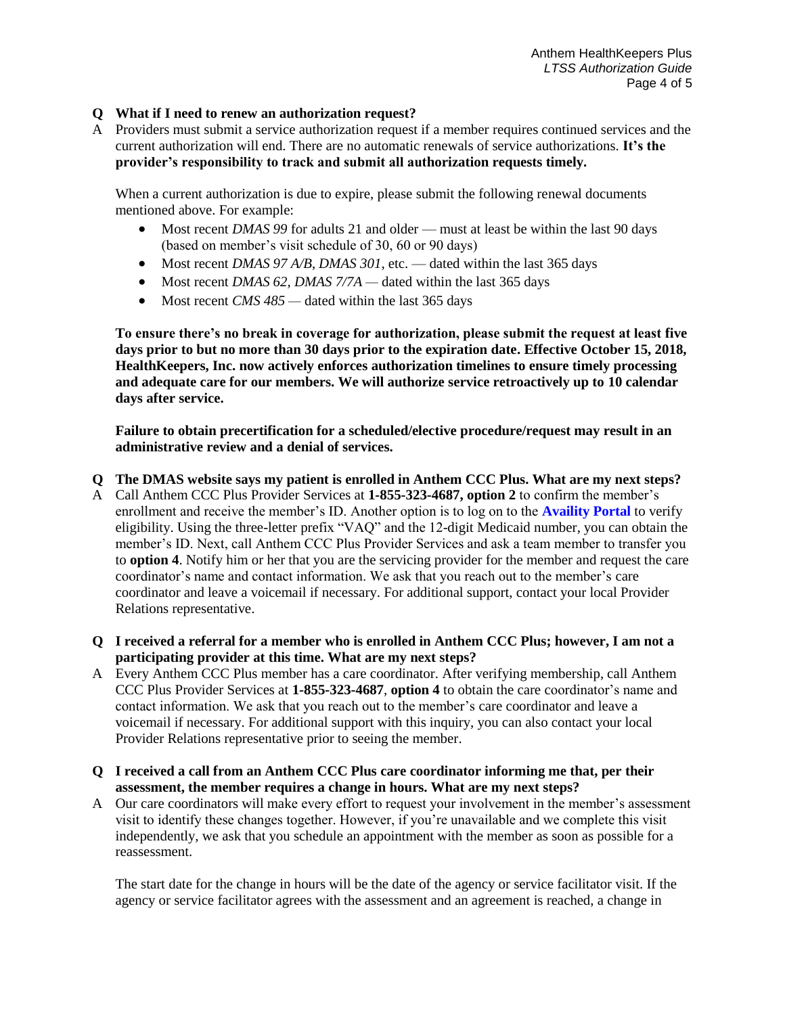## **Q What if I need to renew an authorization request?**

A Providers must submit a service authorization request if a member requires continued services and the current authorization will end. There are no automatic renewals of service authorizations. **It's the provider's responsibility to track and submit all authorization requests timely.**

When a current authorization is due to expire, please submit the following renewal documents mentioned above. For example:

- Most recent *DMAS 99* for adults 21 and older must at least be within the last 90 days (based on member's visit schedule of 30, 60 or 90 days)
- Most recent *DMAS 97 A/B*, *DMAS 301*, etc. dated within the last 365 days
- Most recent *DMAS 62, DMAS 7/7A* dated within the last 365 days
- Most recent *CMS* 485 dated within the last 365 days

**To ensure there's no break in coverage for authorization, please submit the request at least five days prior to but no more than 30 days prior to the expiration date. Effective October 15, 2018, HealthKeepers, Inc. now actively enforces authorization timelines to ensure timely processing and adequate care for our members. We will authorize service retroactively up to 10 calendar days after service.** 

**Failure to obtain precertification for a scheduled/elective procedure/request may result in an administrative review and a denial of services.** 

#### **Q The DMAS website says my patient is enrolled in Anthem CCC Plus. What are my next steps?**

- A Call Anthem CCC Plus Provider Services at **1-855-323-4687, option 2** to confirm the member's enrollment and receive the member's ID. Another option is to log on to the **[Availity Portal](http://www.availity.com/)** to verify eligibility. Using the three-letter prefix "VAQ" and the 12-digit Medicaid number, you can obtain the member's ID. Next, call Anthem CCC Plus Provider Services and ask a team member to transfer you to **option 4**. Notify him or her that you are the servicing provider for the member and request the care coordinator's name and contact information. We ask that you reach out to the member's care coordinator and leave a voicemail if necessary. For additional support, contact your local Provider Relations representative.
- **Q I received a referral for a member who is enrolled in Anthem CCC Plus; however, I am not a participating provider at this time. What are my next steps?**
- A Every Anthem CCC Plus member has a care coordinator. After verifying membership, call Anthem CCC Plus Provider Services at **1-855-323-4687**, **option 4** to obtain the care coordinator's name and contact information. We ask that you reach out to the member's care coordinator and leave a voicemail if necessary. For additional support with this inquiry, you can also contact your local Provider Relations representative prior to seeing the member.
- **Q I received a call from an Anthem CCC Plus care coordinator informing me that, per their assessment, the member requires a change in hours. What are my next steps?**
- A Our care coordinators will make every effort to request your involvement in the member's assessment visit to identify these changes together. However, if you're unavailable and we complete this visit independently, we ask that you schedule an appointment with the member as soon as possible for a reassessment.

The start date for the change in hours will be the date of the agency or service facilitator visit. If the agency or service facilitator agrees with the assessment and an agreement is reached, a change in